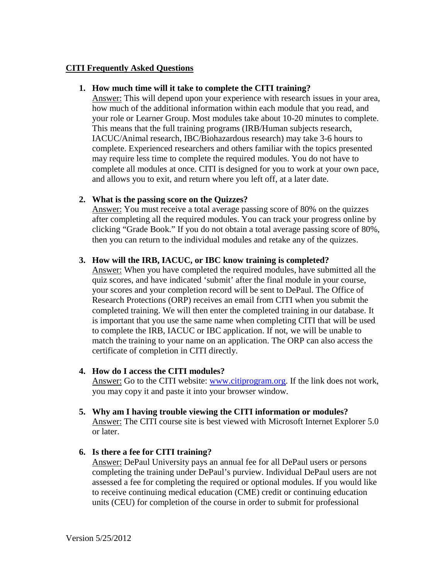### **CITI Frequently Asked Questions**

#### **1. How much time will it take to complete the CITI training?**

Answer: This will depend upon your experience with research issues in your area, how much of the additional information within each module that you read, and your role or Learner Group. Most modules take about 10-20 minutes to complete. This means that the full training programs (IRB/Human subjects research, IACUC/Animal research, IBC/Biohazardous research) may take 3-6 hours to complete. Experienced researchers and others familiar with the topics presented may require less time to complete the required modules. You do not have to complete all modules at once. CITI is designed for you to work at your own pace, and allows you to exit, and return where you left off, at a later date.

## **2. What is the passing score on the Quizzes?**

Answer: You must receive a total average passing score of 80% on the quizzes after completing all the required modules. You can track your progress online by clicking "Grade Book." If you do not obtain a total average passing score of 80%, then you can return to the individual modules and retake any of the quizzes.

## **3. How will the IRB, IACUC, or IBC know training is completed?**

Answer: When you have completed the required modules, have submitted all the quiz scores, and have indicated 'submit' after the final module in your course, your scores and your completion record will be sent to DePaul. The Office of Research Protections (ORP) receives an email from CITI when you submit the completed training. We will then enter the completed training in our database. It is important that you use the same name when completing CITI that will be used to complete the IRB, IACUC or IBC application. If not, we will be unable to match the training to your name on an application. The ORP can also access the certificate of completion in CITI directly.

# **4. How do I access the CITI modules?**

Answer: Go to the CITI website: [www.citiprogram.org.](http://www.citiprogram.org/) If the link does not work, you may copy it and paste it into your browser window.

**5. Why am I having trouble viewing the CITI information or modules?** Answer: The CITI course site is best viewed with Microsoft Internet Explorer 5.0 or later.

# **6. Is there a fee for CITI training?**

Answer: DePaul University pays an annual fee for all DePaul users or persons completing the training under DePaul's purview. Individual DePaul users are not assessed a fee for completing the required or optional modules. If you would like to receive continuing medical education (CME) credit or continuing education units (CEU) for completion of the course in order to submit for professional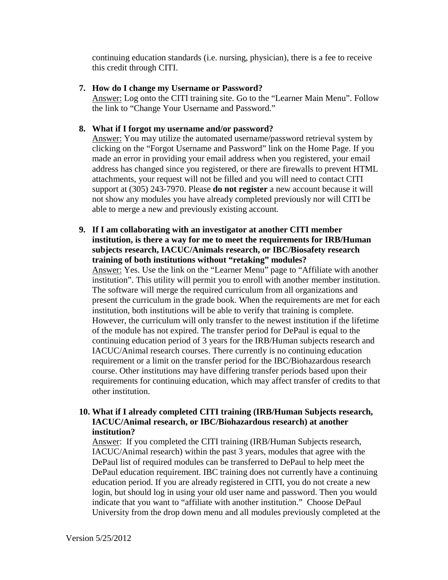continuing education standards (i.e. nursing, physician), there is a fee to receive this credit through CITI.

## **7. How do I change my Username or Password?**

Answer: Log onto the CITI training site. Go to the "Learner Main Menu". Follow the link to "Change Your Username and Password."

## **8. What if I forgot my username and/or password?**

Answer: You may utilize the automated username/password retrieval system by clicking on the "Forgot Username and Password" link on the Home Page. If you made an error in providing your email address when you registered, your email address has changed since you registered, or there are firewalls to prevent HTML attachments, your request will not be filled and you will need to contact CITI support at (305) 243-7970. Please **do not register** a new account because it will not show any modules you have already completed previously nor will CITI be able to merge a new and previously existing account.

## **9. If I am collaborating with an investigator at another CITI member institution, is there a way for me to meet the requirements for IRB/Human subjects research, IACUC/Animals research, or IBC/Biosafety research training of both institutions without "retaking" modules?**

Answer: Yes. Use the link on the "Learner Menu" page to "Affiliate with another institution". This utility will permit you to enroll with another member institution. The software will merge the required curriculum from all organizations and present the curriculum in the grade book. When the requirements are met for each institution, both institutions will be able to verify that training is complete. However, the curriculum will only transfer to the newest institution if the lifetime of the module has not expired. The transfer period for DePaul is equal to the continuing education period of 3 years for the IRB/Human subjects research and IACUC/Animal research courses. There currently is no continuing education requirement or a limit on the transfer period for the IBC/Biohazardous research course. Other institutions may have differing transfer periods based upon their requirements for continuing education, which may affect transfer of credits to that other institution.

# **10. What if I already completed CITI training (IRB/Human Subjects research, IACUC/Animal research, or IBC/Biohazardous research) at another institution?**

Answer: If you completed the CITI training (IRB/Human Subjects research, IACUC/Animal research) within the past 3 years, modules that agree with the DePaul list of required modules can be transferred to DePaul to help meet the DePaul education requirement. IBC training does not currently have a continuing education period. If you are already registered in CITI, you do not create a new login, but should log in using your old user name and password. Then you would indicate that you want to "affiliate with another institution." Choose DePaul University from the drop down menu and all modules previously completed at the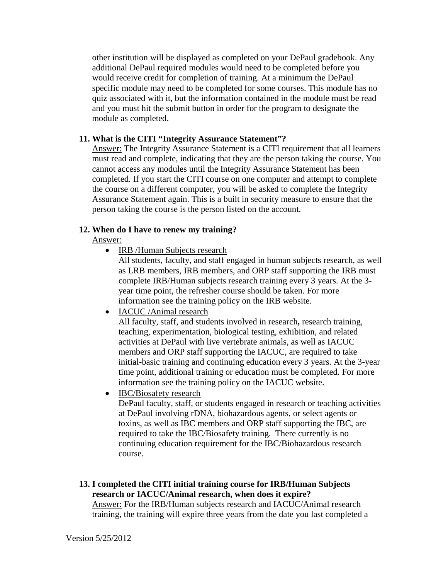other institution will be displayed as completed on your DePaul gradebook. Any additional DePaul required modules would need to be completed before you would receive credit for completion of training. At a minimum the DePaul specific module may need to be completed for some courses. This module has no quiz associated with it, but the information contained in the module must be read and you must hit the submit button in order for the program to designate the module as completed.

## **11. What is the CITI "Integrity Assurance Statement"?**

Answer: The Integrity Assurance Statement is a CITI requirement that all learners must read and complete, indicating that they are the person taking the course. You cannot access any modules until the Integrity Assurance Statement has been completed. If you start the CITI course on one computer and attempt to complete the course on a different computer, you will be asked to complete the Integrity Assurance Statement again. This is a built in security measure to ensure that the person taking the course is the person listed on the account.

## **12. When do I have to renew my training?**

## Answer:

• IRB /Human Subjects research

All students, faculty, and staff engaged in human subjects research, as well as LRB members, IRB members, and ORP staff supporting the IRB must complete IRB/Human subjects research training every 3 years. At the 3 year time point, the refresher course should be taken. For more information see the training policy on the IRB website.

• IACUC /Animal research

All faculty, staff, and students involved in research**,** research training, teaching, experimentation, biological testing, exhibition, and related activities at DePaul with live vertebrate animals, as well as IACUC members and ORP staff supporting the IACUC, are required to take initial-basic training and continuing education every 3 years. At the 3-year time point, additional training or education must be completed. For more information see the training policy on the IACUC website.

• **IBC/Biosafety** research

DePaul faculty, staff, or students engaged in research or teaching activities at DePaul involving rDNA, biohazardous agents, or select agents or toxins, as well as IBC members and ORP staff supporting the IBC, are required to take the IBC/Biosafety training. There currently is no continuing education requirement for the IBC/Biohazardous research course.

**13. I completed the CITI initial training course for IRB/Human Subjects research or IACUC/Animal research, when does it expire?** Answer: For the IRB/Human subjects research and IACUC/Animal research training, the training will expire three years from the date you last completed a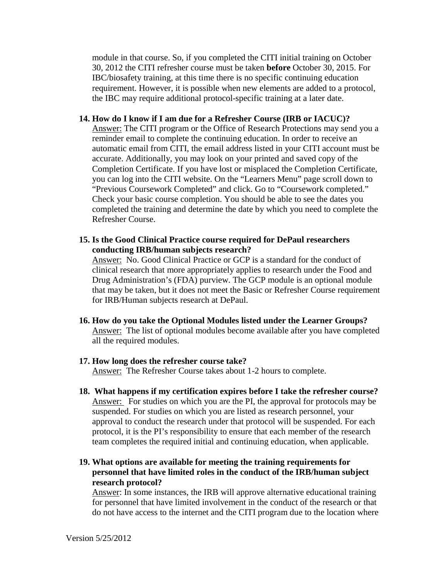module in that course. So, if you completed the CITI initial training on October 30, 2012 the CITI refresher course must be taken **before** October 30, 2015. For IBC/biosafety training, at this time there is no specific continuing education requirement. However, it is possible when new elements are added to a protocol, the IBC may require additional protocol-specific training at a later date.

#### **14. How do I know if I am due for a Refresher Course (IRB or IACUC)?**

Answer: The CITI program or the Office of Research Protections may send you a reminder email to complete the continuing education. In order to receive an automatic email from CITI, the email address listed in your CITI account must be accurate. Additionally, you may look on your printed and saved copy of the Completion Certificate. If you have lost or misplaced the Completion Certificate, you can log into the CITI website. On the "Learners Menu" page scroll down to "Previous Coursework Completed" and click. Go to "Coursework completed." Check your basic course completion. You should be able to see the dates you completed the training and determine the date by which you need to complete the Refresher Course.

#### **15. Is the Good Clinical Practice course required for DePaul researchers conducting IRB/human subjects research?**

Answer: No. Good Clinical Practice or GCP is a standard for the conduct of clinical research that more appropriately applies to research under the Food and Drug Administration's (FDA) purview. The GCP module is an optional module that may be taken, but it does not meet the Basic or Refresher Course requirement for IRB/Human subjects research at DePaul.

#### **16. How do you take the Optional Modules listed under the Learner Groups?** Answer: The list of optional modules become available after you have completed all the required modules.

# **17. How long does the refresher course take?**

Answer: The Refresher Course takes about 1-2 hours to complete.

 **18. What happens if my certification expires before I take the refresher course?** Answer: For studies on which you are the PI, the approval for protocols may be suspended. For studies on which you are listed as research personnel, your approval to conduct the research under that protocol will be suspended. For each protocol, it is the PI's responsibility to ensure that each member of the research team completes the required initial and continuing education, when applicable.

## **19. What options are available for meeting the training requirements for personnel that have limited roles in the conduct of the IRB/human subject research protocol?**

Answer: In some instances, the IRB will approve alternative educational training for personnel that have limited involvement in the conduct of the research or that do not have access to the internet and the CITI program due to the location where